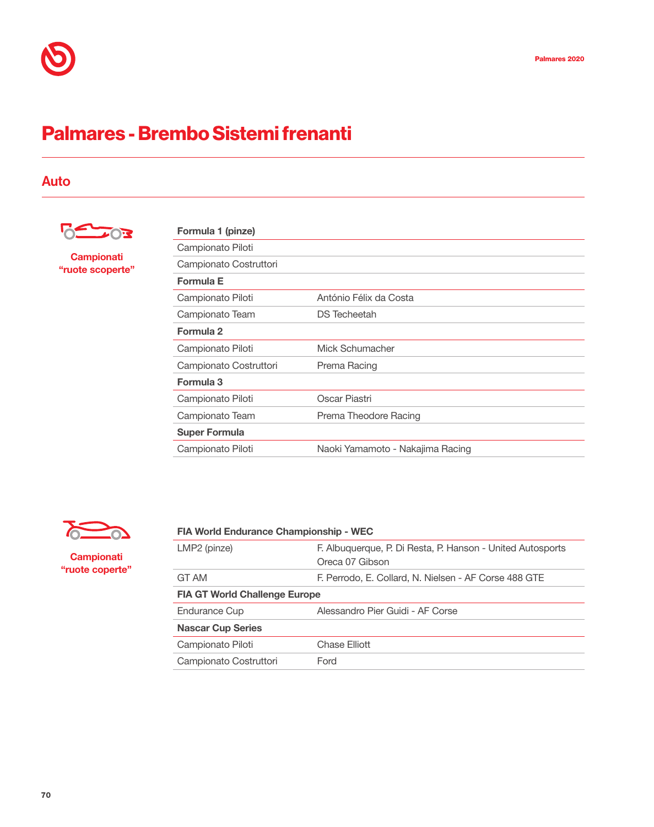# Palmares - Brembo Sistemi frenanti

## Auto



#### **Campionati** "ruote scoperte"

| Formula 1 (pinze)      |                                  |
|------------------------|----------------------------------|
| Campionato Piloti      |                                  |
| Campionato Costruttori |                                  |
| Formula E              |                                  |
| Campionato Piloti      | António Félix da Costa           |
| Campionato Team        | <b>DS</b> Techeetah              |
| Formula 2              |                                  |
| Campionato Piloti      | Mick Schumacher                  |
| Campionato Costruttori | Prema Racing                     |
| Formula 3              |                                  |
| Campionato Piloti      | Oscar Piastri                    |
| Campionato Team        | Prema Theodore Racing            |
| <b>Super Formula</b>   |                                  |
| Campionato Piloti      | Naoki Yamamoto - Nakajima Racing |



#### **Campionati** "ruote coperte"

| <b>FIA World Endurance Championship - WEC</b> |                                                                               |  |
|-----------------------------------------------|-------------------------------------------------------------------------------|--|
| LMP2 (pinze)                                  | F. Albuquerque, P. Di Resta, P. Hanson - United Autosports<br>Oreca 07 Gibson |  |
| GT AM                                         | F. Perrodo, E. Collard, N. Nielsen - AF Corse 488 GTE                         |  |
| <b>FIA GT World Challenge Europe</b>          |                                                                               |  |
| <b>Endurance Cup</b>                          | Alessandro Pier Guidi - AF Corse                                              |  |
| <b>Nascar Cup Series</b>                      |                                                                               |  |
| Campionato Piloti                             | Chase Elliott                                                                 |  |
| Campionato Costruttori                        | Ford                                                                          |  |